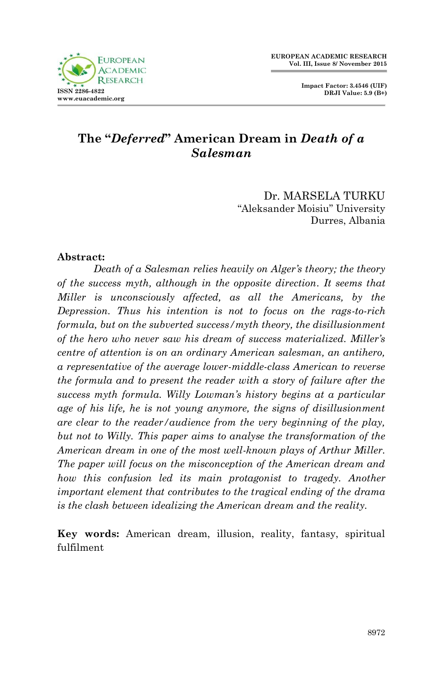

**Impact Factor: 3.4546 (UIF) DRJI Value: 5.9 (B+)**

# **The "***Deferred***" American Dream in** *Death of a Salesman*

Dr. MARSELA TURKU "Aleksander Moisiu" University Durres, Albania

#### **Abstract:**

*Death of a Salesman relies heavily on Alger's theory; the theory of the success myth, although in the opposite direction. It seems that Miller is unconsciously affected, as all the Americans, by the Depression. Thus his intention is not to focus on the rags-to-rich formula, but on the subverted success/myth theory, the disillusionment of the hero who never saw his dream of success materialized. Miller's centre of attention is on an ordinary American salesman, an antihero, a representative of the average lower-middle-class American to reverse the formula and to present the reader with a story of failure after the success myth formula. Willy Lowman's history begins at a particular age of his life, he is not young anymore, the signs of disillusionment are clear to the reader/audience from the very beginning of the play, but not to Willy. This paper aims to analyse the transformation of the American dream in one of the most well-known plays of Arthur Miller. The paper will focus on the misconception of the American dream and how this confusion led its main protagonist to tragedy. Another important element that contributes to the tragical ending of the drama is the clash between idealizing the American dream and the reality.* 

**Key words:** American dream, illusion, reality, fantasy, spiritual fulfilment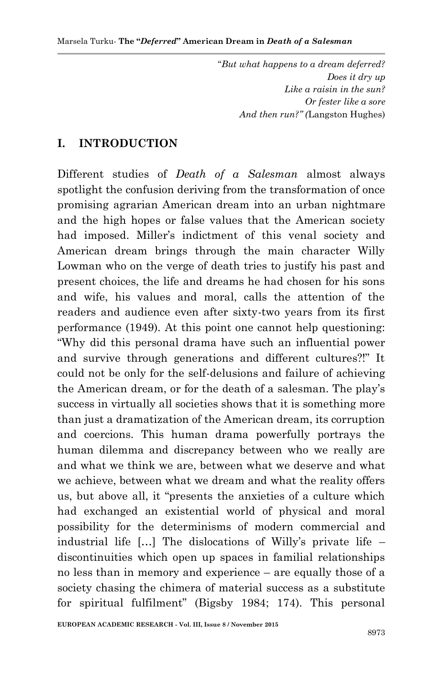"*But what happens to a dream deferred? Does it dry up Like a raisin in the sun? Or fester like a sore And then run?" (*Langston Hughes)

### **I. INTRODUCTION**

Different studies of *Death of a Salesman* almost always spotlight the confusion deriving from the transformation of once promising agrarian American dream into an urban nightmare and the high hopes or false values that the American society had imposed. Miller's indictment of this venal society and American dream brings through the main character Willy Lowman who on the verge of death tries to justify his past and present choices, the life and dreams he had chosen for his sons and wife, his values and moral, calls the attention of the readers and audience even after sixty-two years from its first performance (1949). At this point one cannot help questioning: "Why did this personal drama have such an influential power and survive through generations and different cultures?!" It could not be only for the self-delusions and failure of achieving the American dream, or for the death of a salesman. The play"s success in virtually all societies shows that it is something more than just a dramatization of the American dream, its corruption and coercions. This human drama powerfully portrays the human dilemma and discrepancy between who we really are and what we think we are, between what we deserve and what we achieve, between what we dream and what the reality offers us, but above all, it "presents the anxieties of a culture which had exchanged an existential world of physical and moral possibility for the determinisms of modern commercial and industrial life [...] The dislocations of Willy's private life – discontinuities which open up spaces in familial relationships no less than in memory and experience – are equally those of a society chasing the chimera of material success as a substitute for spiritual fulfilment" (Bigsby 1984; 174). This personal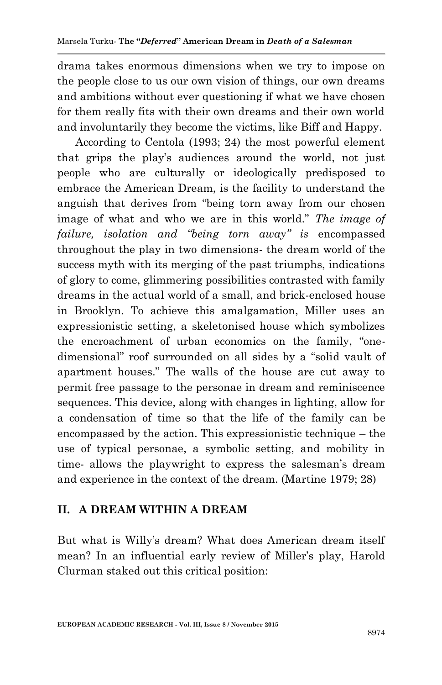drama takes enormous dimensions when we try to impose on the people close to us our own vision of things, our own dreams and ambitions without ever questioning if what we have chosen for them really fits with their own dreams and their own world and involuntarily they become the victims, like Biff and Happy.

According to Centola (1993; 24) the most powerful element that grips the play"s audiences around the world, not just people who are culturally or ideologically predisposed to embrace the American Dream, is the facility to understand the anguish that derives from "being torn away from our chosen image of what and who we are in this world." *The image of failure, isolation and "being torn away" is* encompassed throughout the play in two dimensions- the dream world of the success myth with its merging of the past triumphs, indications of glory to come, glimmering possibilities contrasted with family dreams in the actual world of a small, and brick-enclosed house in Brooklyn. To achieve this amalgamation, Miller uses an expressionistic setting, a skeletonised house which symbolizes the encroachment of urban economics on the family, "onedimensional" roof surrounded on all sides by a "solid vault of apartment houses." The walls of the house are cut away to permit free passage to the personae in dream and reminiscence sequences. This device, along with changes in lighting, allow for a condensation of time so that the life of the family can be encompassed by the action. This expressionistic technique – the use of typical personae, a symbolic setting, and mobility in time- allows the playwright to express the salesman"s dream and experience in the context of the dream. (Martine 1979; 28)

## **II. A DREAM WITHIN A DREAM**

But what is Willy"s dream? What does American dream itself mean? In an influential early review of Miller's play, Harold Clurman staked out this critical position: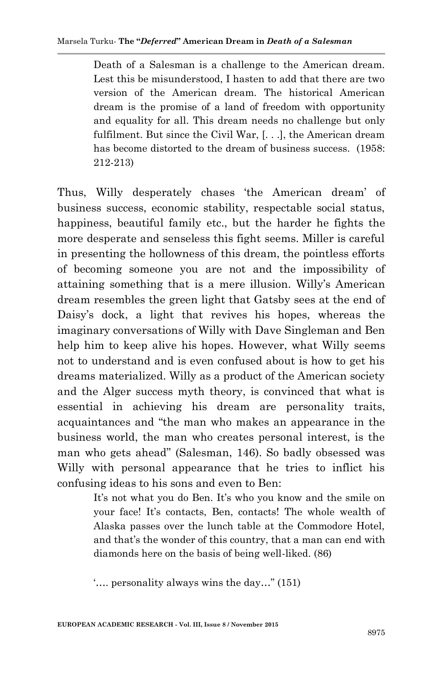Death of a Salesman is a challenge to the American dream. Lest this be misunderstood, I hasten to add that there are two version of the American dream. The historical American dream is the promise of a land of freedom with opportunity and equality for all. This dream needs no challenge but only fulfilment. But since the Civil War, [. . .], the American dream has become distorted to the dream of business success. (1958: 212-213)

Thus, Willy desperately chases "the American dream" of business success, economic stability, respectable social status, happiness, beautiful family etc., but the harder he fights the more desperate and senseless this fight seems. Miller is careful in presenting the hollowness of this dream, the pointless efforts of becoming someone you are not and the impossibility of attaining something that is a mere illusion. Willy"s American dream resembles the green light that Gatsby sees at the end of Daisy"s dock, a light that revives his hopes, whereas the imaginary conversations of Willy with Dave Singleman and Ben help him to keep alive his hopes. However, what Willy seems not to understand and is even confused about is how to get his dreams materialized. Willy as a product of the American society and the Alger success myth theory, is convinced that what is essential in achieving his dream are personality traits, acquaintances and "the man who makes an appearance in the business world, the man who creates personal interest, is the man who gets ahead" (Salesman, 146). So badly obsessed was Willy with personal appearance that he tries to inflict his confusing ideas to his sons and even to Ben:

> It's not what you do Ben. It's who you know and the smile on your face! It's contacts, Ben, contacts! The whole wealth of Alaska passes over the lunch table at the Commodore Hotel, and that's the wonder of this country, that a man can end with diamonds here on the basis of being well-liked. (86)

"…. personality always wins the day…" (151)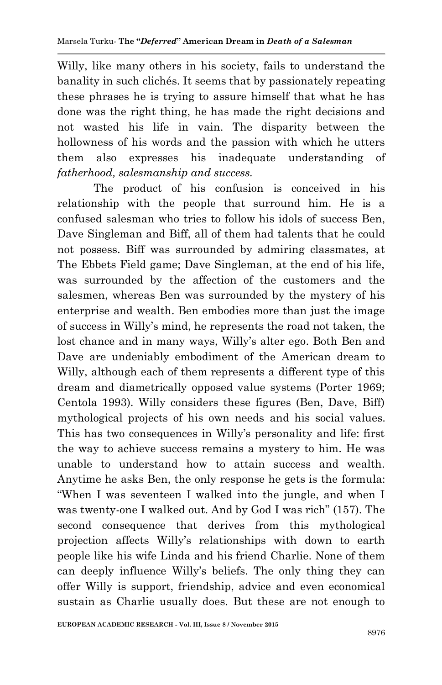Willy, like many others in his society, fails to understand the banality in such clichés. It seems that by passionately repeating these phrases he is trying to assure himself that what he has done was the right thing, he has made the right decisions and not wasted his life in vain. The disparity between the hollowness of his words and the passion with which he utters them also expresses his inadequate understanding of *fatherhood, salesmanship and success.* 

The product of his confusion is conceived in his relationship with the people that surround him. He is a confused salesman who tries to follow his idols of success Ben, Dave Singleman and Biff, all of them had talents that he could not possess. Biff was surrounded by admiring classmates, at The Ebbets Field game; Dave Singleman, at the end of his life, was surrounded by the affection of the customers and the salesmen, whereas Ben was surrounded by the mystery of his enterprise and wealth. Ben embodies more than just the image of success in Willy"s mind, he represents the road not taken, the lost chance and in many ways, Willy's alter ego. Both Ben and Dave are undeniably embodiment of the American dream to Willy, although each of them represents a different type of this dream and diametrically opposed value systems (Porter 1969; Centola 1993). Willy considers these figures (Ben, Dave, Biff) mythological projects of his own needs and his social values. This has two consequences in Willy"s personality and life: first the way to achieve success remains a mystery to him. He was unable to understand how to attain success and wealth. Anytime he asks Ben, the only response he gets is the formula: "When I was seventeen I walked into the jungle, and when I was twenty-one I walked out. And by God I was rich" (157). The second consequence that derives from this mythological projection affects Willy"s relationships with down to earth people like his wife Linda and his friend Charlie. None of them can deeply influence Willy"s beliefs. The only thing they can offer Willy is support, friendship, advice and even economical sustain as Charlie usually does. But these are not enough to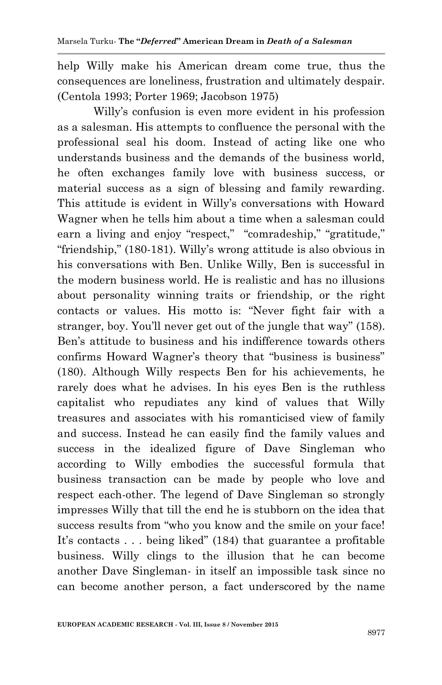help Willy make his American dream come true, thus the consequences are loneliness, frustration and ultimately despair. (Centola 1993; Porter 1969; Jacobson 1975)

Willy"s confusion is even more evident in his profession as a salesman. His attempts to confluence the personal with the professional seal his doom. Instead of acting like one who understands business and the demands of the business world, he often exchanges family love with business success, or material success as a sign of blessing and family rewarding. This attitude is evident in Willy"s conversations with Howard Wagner when he tells him about a time when a salesman could earn a living and enjoy "respect," "comradeship," "gratitude." "friendship," (180-181). Willy"s wrong attitude is also obvious in his conversations with Ben. Unlike Willy, Ben is successful in the modern business world. He is realistic and has no illusions about personality winning traits or friendship, or the right contacts or values. His motto is: "Never fight fair with a stranger, boy. You"ll never get out of the jungle that way" (158). Ben"s attitude to business and his indifference towards others confirms Howard Wagner's theory that "business is business" (180). Although Willy respects Ben for his achievements, he rarely does what he advises. In his eyes Ben is the ruthless capitalist who repudiates any kind of values that Willy treasures and associates with his romanticised view of family and success. Instead he can easily find the family values and success in the idealized figure of Dave Singleman who according to Willy embodies the successful formula that business transaction can be made by people who love and respect each-other. The legend of Dave Singleman so strongly impresses Willy that till the end he is stubborn on the idea that success results from "who you know and the smile on your face! It's contacts . . . being liked" (184) that guarantee a profitable business. Willy clings to the illusion that he can become another Dave Singleman- in itself an impossible task since no can become another person, a fact underscored by the name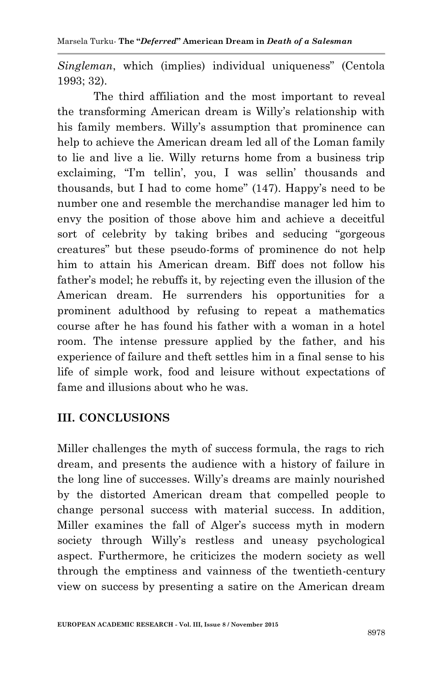*Singleman*, which (implies) individual uniqueness" (Centola 1993; 32).

The third affiliation and the most important to reveal the transforming American dream is Willy"s relationship with his family members. Willy's assumption that prominence can help to achieve the American dream led all of the Loman family to lie and live a lie. Willy returns home from a business trip exclaiming, "I'm tellin', you, I was sellin' thousands and thousands, but I had to come home"  $(147)$ . Happy's need to be number one and resemble the merchandise manager led him to envy the position of those above him and achieve a deceitful sort of celebrity by taking bribes and seducing "gorgeous creatures" but these pseudo-forms of prominence do not help him to attain his American dream. Biff does not follow his father's model; he rebuffs it, by rejecting even the illusion of the American dream. He surrenders his opportunities for a prominent adulthood by refusing to repeat a mathematics course after he has found his father with a woman in a hotel room. The intense pressure applied by the father, and his experience of failure and theft settles him in a final sense to his life of simple work, food and leisure without expectations of fame and illusions about who he was.

# **III. CONCLUSIONS**

Miller challenges the myth of success formula, the rags to rich dream, and presents the audience with a history of failure in the long line of successes. Willy"s dreams are mainly nourished by the distorted American dream that compelled people to change personal success with material success. In addition, Miller examines the fall of Alger's success myth in modern society through Willy's restless and uneasy psychological aspect. Furthermore, he criticizes the modern society as well through the emptiness and vainness of the twentieth-century view on success by presenting a satire on the American dream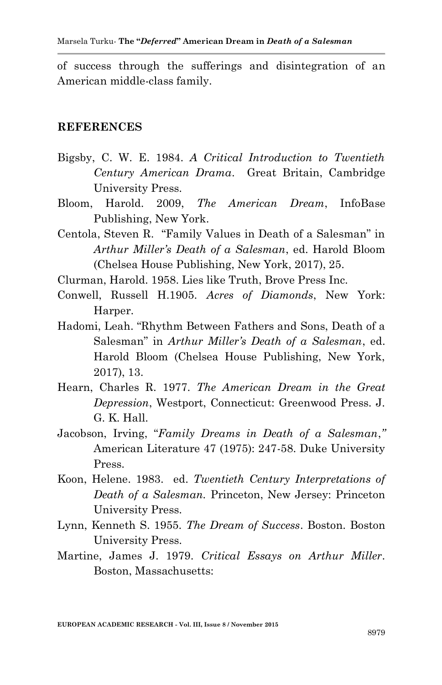of success through the sufferings and disintegration of an American middle-class family.

#### **REFERENCES**

- Bigsby, C. W. E. 1984. *A Critical Introduction to Twentieth Century American Drama*. Great Britain, Cambridge University Press.
- Bloom, Harold. 2009, *The American Dream*, InfoBase Publishing, New York.
- Centola, Steven R. "Family Values in Death of a Salesman" in *Arthur Miller's Death of a Salesman*, ed. Harold Bloom (Chelsea House Publishing, New York, 2017), 25.
- Clurman, Harold. 1958. Lies like Truth, Brove Press Inc.
- Conwell, Russell H.1905. *Acres of Diamonds*, New York: Harper.
- Hadomi, Leah. "Rhythm Between Fathers and Sons, Death of a Salesman" in *Arthur Miller's Death of a Salesman*, ed. Harold Bloom (Chelsea House Publishing, New York, 2017), 13.
- Hearn, Charles R. 1977. *The American Dream in the Great Depression*, Westport, Connecticut: Greenwood Press. J. G. K. Hall.
- Jacobson, Irving, "*Family Dreams in Death of a Salesman*,*"* American Literature 47 (1975): 247-58. Duke University Press.
- Koon, Helene. 1983. ed. *Twentieth Century Interpretations of Death of a Salesman.* Princeton, New Jersey: Princeton University Press.
- Lynn, Kenneth S. 1955. *The Dream of Success*. Boston. Boston University Press.
- Martine, James J. 1979. *Critical Essays on Arthur Miller*. Boston, Massachusetts: